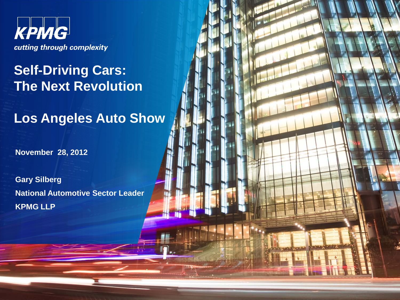

# **Self-Driving Cars: The Next Revolution**

**Los Angeles Auto Show**

**November 28, 2012**

**Gary Silberg National Automotive Sector Leader KPMG LLP**

© 2012 KPMG LLP, a Delaware limited liability partnership and the U.S. member firm of the KPMG network of independent

member firms affiliated with KPMG International Cooperational Cooperational ), a Swiss entity. All rights reserved.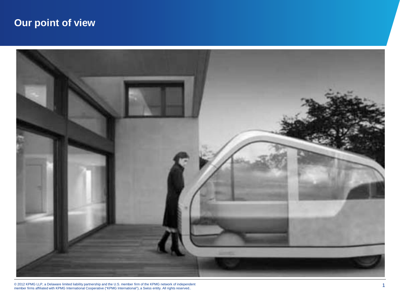# **Our point of view**



© 2012 KPMG LLP, a Delaware limited liability partnership and the U.S. member firm of the KPMG network of independent<br>member firms affiliated with KPMG International Cooperative ("KPMG International"), a Swiss entity. All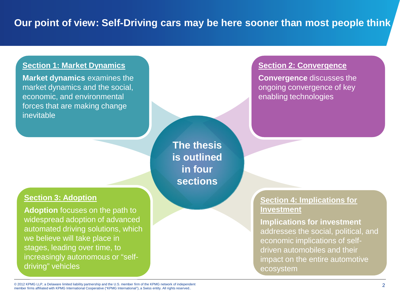#### **Section 1: Market Dynamics**

**Market dynamics** examines the market dynamics and the social, economic, and environmental forces that are making change inevitable

#### **Section 3: Adoption**

**Adoption** focuses on the path to widespread adoption of advanced automated driving solutions, which we believe will take place in stages, leading over time, to increasingly autonomous or "selfdriving" vehicles

**The thesis is outlined in four sections**

#### **Section 2: Convergence**

**Convergence** discusses the ongoing convergence of key enabling technologies

#### **Section 4: Implications for Investment**

**Implications for investment**  addresses the social, political, and economic implications of selfdriven automobiles and their impact on the entire automotive ecosystem

© 2012 KPMG LLP, a Delaware limited liability partnership and the U.S. member firm of the KPMG network of independent © 2012 KPMG LLP, a Delaware limited liability partnership and the U.S. member firm of the KPMG network of independent<br>member firms affiliated with KPMG International Cooperative ("KPMG International"), a Swiss entity. All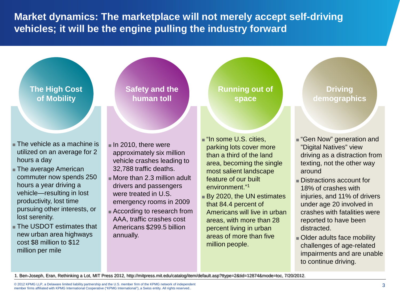**Market dynamics: The marketplace will not merely accept self-driving vehicles; it will be the engine pulling the industry forward**

### **The High Cost of Mobility**

- The vehicle as a machine is utilized on an average for 2 hours a day
- The average American commuter now spends 250 hours a year driving a vehicle—resulting in lost productivity, lost time pursuing other interests, or lost serenity.
- The USDOT estimates that new urban area highways cost \$8 million to \$12 million per mile

#### **Safety and the human toll**

- In 2010, there were approximately six million vehicle crashes leading to 32,788 traffic deaths.
- More than 2.3 million adult drivers and passengers were treated in U.S. emergency rooms in 2009
- According to research from AAA, traffic crashes cost Americans \$299.5 billion annually.

### **Running out of space**

- "In some U.S. cities, parking lots cover more than a third of the land area, becoming the single most salient landscape feature of our built environment."1
- By 2020, the UN estimates that 84.4 percent of Americans will live in urban areas, with more than 28 percent living in urban areas of more than five million people.

#### **Driving demographics**

- "Gen Now" generation and "Digital Natives" view driving as a distraction from texting, not the other way around
- Distractions account for 18% of crashes with injuries, and 11% of drivers under age 20 involved in crashes with fatalities were reported to have been distracted.
- Older adults face mobility challenges of age-related impairments and are unable to continue driving.

1. Ben-Joseph, Eran, Rethinking a Lot, MIT Press 2012, http://mitpress.mit.edu/catalog/item/default.asp?ttype=2&tid=12874&mode=toc, 7/20/2012.

© 2012 KPMG LLP, a Delaware limited liability partnership and the U.S. member firm of the KPMG network of independent © 2012 KPMG LLP, a Delaware limited liability partnership and the U.S. member firm of the KPMG network of independent<br>member firms affiliated with KPMG International Cooperative ("KPMG International"), a Swiss entity. All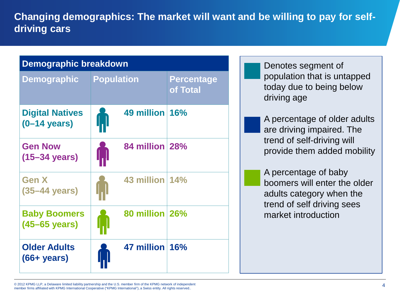**Changing demographics: The market will want and be willing to pay for selfdriving cars**

| <b>Demographic breakdown</b>                     |                   |                |                               |
|--------------------------------------------------|-------------------|----------------|-------------------------------|
| Demographic                                      | <b>Population</b> |                | <b>Percentage</b><br>of Total |
| <b>Digital Natives</b><br>$(0-14 \text{ years})$ | M                 | 49 million 16% |                               |
| <b>Gen Now</b><br>$(15-34 \text{ years})$        |                   | 84 million 28% |                               |
| <b>Gen X</b><br>$(35-44 \text{ years})$          |                   | 43 million 14% |                               |
| <b>Baby Boomers</b><br>$(45-65 \text{ years})$   |                   | 80 million 26% |                               |
| <b>Older Adults</b><br>$(66 + years)$            |                   | 47 million 16% |                               |

Denotes segment of population that is untapped today due to being below driving age

A percentage of older adults are driving impaired. The trend of self-driving will provide them added mobility

A percentage of baby boomers will enter the older adults category when the trend of self driving sees market introduction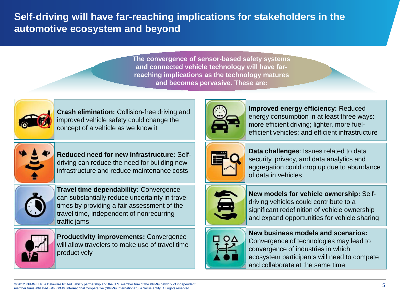## **Self-driving will have far-reaching implications for stakeholders in the automotive ecosystem and beyond**

**The convergence of sensor-based safety systems and connected vehicle technology will have farreaching implications as the technology matures and becomes pervasive. These are:**



**Crash elimination:** Collision-free driving and improved vehicle safety could change the concept of a vehicle as we know it



**Reduced need for new infrastructure:** Selfdriving can reduce the need for building new infrastructure and reduce maintenance costs



**Travel time dependability:** Convergence can substantially reduce uncertainty in travel times by providing a fair assessment of the travel time, independent of nonrecurring traffic jams



**Productivity improvements:** Convergence will allow travelers to make use of travel time productively



**Improved energy efficiency:** Reduced energy consumption in at least three ways: more efficient driving; lighter, more fuelefficient vehicles; and efficient infrastructure



**Data challenges**: Issues related to data security, privacy, and data analytics and aggregation could crop up due to abundance of data in vehicles



**New models for vehicle ownership:** Selfdriving vehicles could contribute to a significant redefinition of vehicle ownership and expand opportunities for vehicle sharing



**New business models and scenarios:**  Convergence of technologies may lead to convergence of industries in which ecosystem participants will need to compete and collaborate at the same time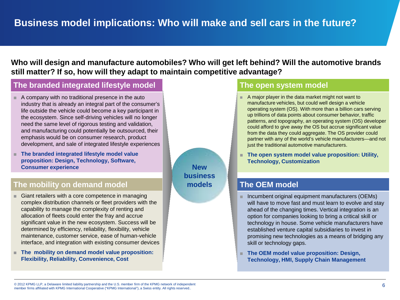### **Who will design and manufacture automobiles? Who will get left behind? Will the automotive brands still matter? If so, how will they adapt to maintain competitive advantage?**

#### **The branded integrated lifestyle model The open system model**

- A company with no traditional presence in the auto industry that is already an integral part of the consumer's life outside the vehicle could become a key participant in the ecosystem. Since self-driving vehicles will no longer need the same level of rigorous testing and validation, and manufacturing could potentially be outsourced, their emphasis would be on consumer research, product development, and sale of integrated lifestyle experiences
- **The branded integrated lifestyle model value proposition: Design, Technology, Software, Consumer experience**

#### **The mobility on demand model The OEM model The OEM model**

- Giant retailers with a core competence in managing complex distribution channels or fleet providers with the capability to manage the complexity of renting and allocation of fleets could enter the fray and accrue significant value in the new ecosystem. Success will be determined by efficiency, reliability, flexibility, vehicle maintenance, customer service, ease of human-vehicle interface, and integration with existing consumer devices
- **The mobility on demand model value proposition: Flexibility, Reliability, Convenience, Cost**

**New business models**

- A major player in the data market might not want to manufacture vehicles, but could well design a vehicle operating system (OS). With more than a billion cars serving up trillions of data points about consumer behavior, traffic patterns, and topography, an operating system (OS) developer could afford to give away the OS but accrue significant value from the data they could aggregate. The OS provider could partner with any of the world's vehicle manufacturers—and not just the traditional automotive manufacturers.
- **The open system model value proposition: Utility, Technology, Customization**

- Incumbent original equipment manufacturers (OEMs) will have to move fast and must learn to evolve and stay ahead of the changing times. Vertical integration is an option for companies looking to bring a critical skill or technology in house. Some vehicle manufacturers have established venture capital subsidiaries to invest in promising new technologies as a means of bridging any skill or technology gaps.
- **The OEM model value proposition: Design, Technology, HMI, Supply Chain Management**

<sup>© 2012</sup> KPMG LLP, a Delaware limited liability partnership and the U.S. member firm of the KPMG network of independent © 2012 KPMG LLP, a Delaware limited liability partnership and the U.S. member firm of the KPMG network of independent<br>member firms affiliated with KPMG International Cooperative ("KPMG International"), a Swiss entity. All